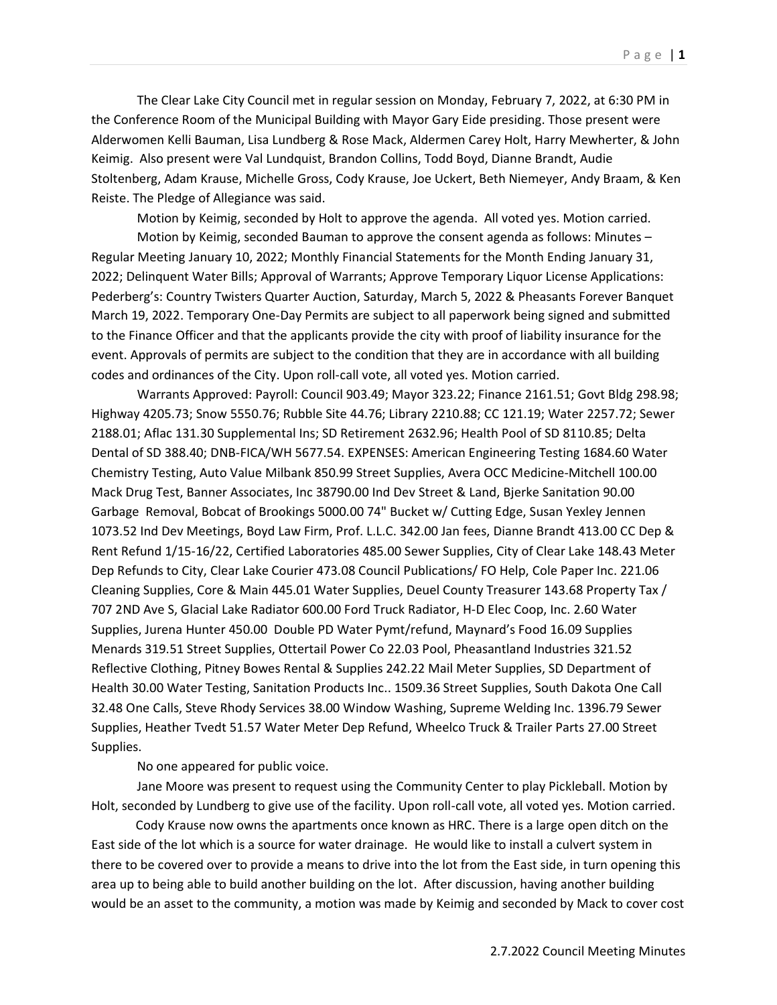The Clear Lake City Council met in regular session on Monday, February 7, 2022, at 6:30 PM in the Conference Room of the Municipal Building with Mayor Gary Eide presiding. Those present were Alderwomen Kelli Bauman, Lisa Lundberg & Rose Mack, Aldermen Carey Holt, Harry Mewherter, & John Keimig. Also present were Val Lundquist, Brandon Collins, Todd Boyd, Dianne Brandt, Audie Stoltenberg, Adam Krause, Michelle Gross, Cody Krause, Joe Uckert, Beth Niemeyer, Andy Braam, & Ken Reiste. The Pledge of Allegiance was said.

Motion by Keimig, seconded by Holt to approve the agenda. All voted yes. Motion carried.

Motion by Keimig, seconded Bauman to approve the consent agenda as follows: Minutes – Regular Meeting January 10, 2022; Monthly Financial Statements for the Month Ending January 31, 2022; Delinquent Water Bills; Approval of Warrants; Approve Temporary Liquor License Applications: Pederberg's: Country Twisters Quarter Auction, Saturday, March 5, 2022 & Pheasants Forever Banquet March 19, 2022. Temporary One-Day Permits are subject to all paperwork being signed and submitted to the Finance Officer and that the applicants provide the city with proof of liability insurance for the event. Approvals of permits are subject to the condition that they are in accordance with all building codes and ordinances of the City. Upon roll-call vote, all voted yes. Motion carried.

Warrants Approved: Payroll: Council 903.49; Mayor 323.22; Finance 2161.51; Govt Bldg 298.98; Highway 4205.73; Snow 5550.76; Rubble Site 44.76; Library 2210.88; CC 121.19; Water 2257.72; Sewer 2188.01; Aflac 131.30 Supplemental Ins; SD Retirement 2632.96; Health Pool of SD 8110.85; Delta Dental of SD 388.40; DNB-FICA/WH 5677.54. EXPENSES: American Engineering Testing 1684.60 Water Chemistry Testing, Auto Value Milbank 850.99 Street Supplies, Avera OCC Medicine-Mitchell 100.00 Mack Drug Test, Banner Associates, Inc 38790.00 Ind Dev Street & Land, Bjerke Sanitation 90.00 Garbage Removal, Bobcat of Brookings 5000.00 74" Bucket w/ Cutting Edge, Susan Yexley Jennen 1073.52 Ind Dev Meetings, Boyd Law Firm, Prof. L.L.C. 342.00 Jan fees, Dianne Brandt 413.00 CC Dep & Rent Refund 1/15-16/22, Certified Laboratories 485.00 Sewer Supplies, City of Clear Lake 148.43 Meter Dep Refunds to City, Clear Lake Courier 473.08 Council Publications/ FO Help, Cole Paper Inc. 221.06 Cleaning Supplies, Core & Main 445.01 Water Supplies, Deuel County Treasurer 143.68 Property Tax / 707 2ND Ave S, Glacial Lake Radiator 600.00 Ford Truck Radiator, H-D Elec Coop, Inc. 2.60 Water Supplies, Jurena Hunter 450.00 Double PD Water Pymt/refund, Maynard's Food 16.09 Supplies Menards 319.51 Street Supplies, Ottertail Power Co 22.03 Pool, Pheasantland Industries 321.52 Reflective Clothing, Pitney Bowes Rental & Supplies 242.22 Mail Meter Supplies, SD Department of Health 30.00 Water Testing, Sanitation Products Inc.. 1509.36 Street Supplies, South Dakota One Call 32.48 One Calls, Steve Rhody Services 38.00 Window Washing, Supreme Welding Inc. 1396.79 Sewer Supplies, Heather Tvedt 51.57 Water Meter Dep Refund, Wheelco Truck & Trailer Parts 27.00 Street Supplies.

No one appeared for public voice.

Jane Moore was present to request using the Community Center to play Pickleball. Motion by Holt, seconded by Lundberg to give use of the facility. Upon roll-call vote, all voted yes. Motion carried.

 Cody Krause now owns the apartments once known as HRC. There is a large open ditch on the East side of the lot which is a source for water drainage. He would like to install a culvert system in there to be covered over to provide a means to drive into the lot from the East side, in turn opening this area up to being able to build another building on the lot. After discussion, having another building would be an asset to the community, a motion was made by Keimig and seconded by Mack to cover cost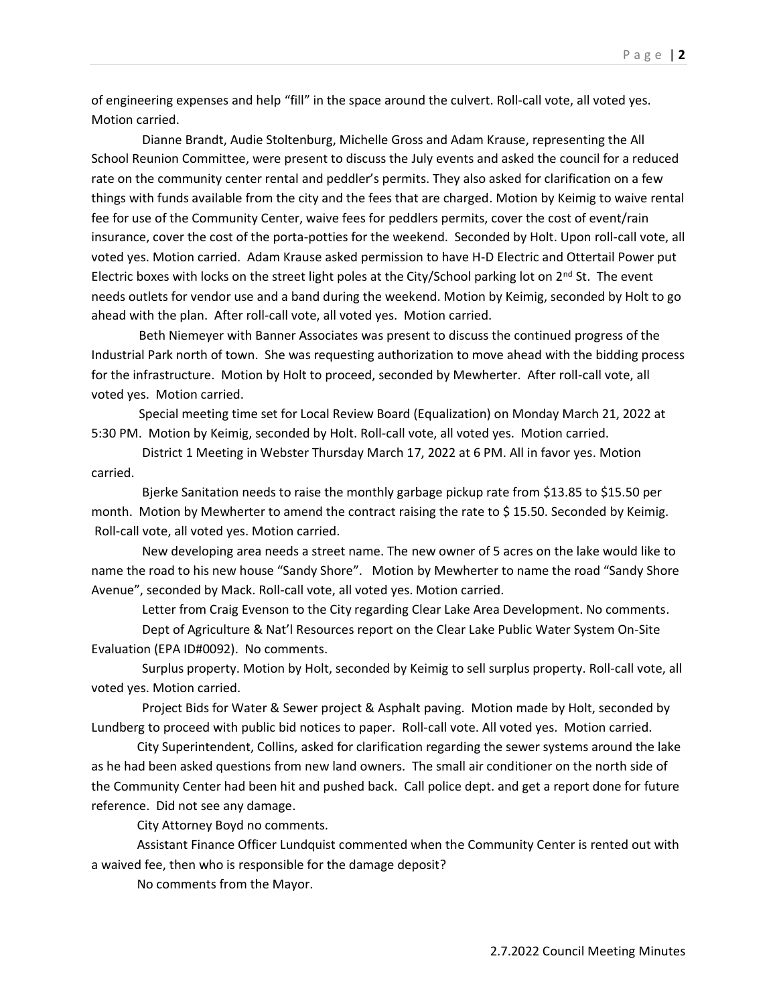of engineering expenses and help "fill" in the space around the culvert. Roll-call vote, all voted yes. Motion carried.

 Dianne Brandt, Audie Stoltenburg, Michelle Gross and Adam Krause, representing the All School Reunion Committee, were present to discuss the July events and asked the council for a reduced rate on the community center rental and peddler's permits. They also asked for clarification on a few things with funds available from the city and the fees that are charged. Motion by Keimig to waive rental fee for use of the Community Center, waive fees for peddlers permits, cover the cost of event/rain insurance, cover the cost of the porta-potties for the weekend. Seconded by Holt. Upon roll-call vote, all voted yes. Motion carried. Adam Krause asked permission to have H-D Electric and Ottertail Power put Electric boxes with locks on the street light poles at the City/School parking lot on  $2<sup>nd</sup>$  St. The event needs outlets for vendor use and a band during the weekend. Motion by Keimig, seconded by Holt to go ahead with the plan. After roll-call vote, all voted yes. Motion carried.

 Beth Niemeyer with Banner Associates was present to discuss the continued progress of the Industrial Park north of town. She was requesting authorization to move ahead with the bidding process for the infrastructure. Motion by Holt to proceed, seconded by Mewherter. After roll-call vote, all voted yes. Motion carried.

 Special meeting time set for Local Review Board (Equalization) on Monday March 21, 2022 at 5:30 PM. Motion by Keimig, seconded by Holt. Roll-call vote, all voted yes. Motion carried.

 District 1 Meeting in Webster Thursday March 17, 2022 at 6 PM. All in favor yes. Motion carried.

 Bjerke Sanitation needs to raise the monthly garbage pickup rate from \$13.85 to \$15.50 per month. Motion by Mewherter to amend the contract raising the rate to \$ 15.50. Seconded by Keimig. Roll-call vote, all voted yes. Motion carried.

 New developing area needs a street name. The new owner of 5 acres on the lake would like to name the road to his new house "Sandy Shore". Motion by Mewherter to name the road "Sandy Shore Avenue", seconded by Mack. Roll-call vote, all voted yes. Motion carried.

Letter from Craig Evenson to the City regarding Clear Lake Area Development. No comments.

 Dept of Agriculture & Nat'l Resources report on the Clear Lake Public Water System On-Site Evaluation (EPA ID#0092). No comments.

 Surplus property. Motion by Holt, seconded by Keimig to sell surplus property. Roll-call vote, all voted yes. Motion carried.

 Project Bids for Water & Sewer project & Asphalt paving. Motion made by Holt, seconded by Lundberg to proceed with public bid notices to paper. Roll-call vote. All voted yes. Motion carried.

City Superintendent, Collins, asked for clarification regarding the sewer systems around the lake as he had been asked questions from new land owners. The small air conditioner on the north side of the Community Center had been hit and pushed back. Call police dept. and get a report done for future reference. Did not see any damage.

City Attorney Boyd no comments.

Assistant Finance Officer Lundquist commented when the Community Center is rented out with a waived fee, then who is responsible for the damage deposit?

No comments from the Mayor.